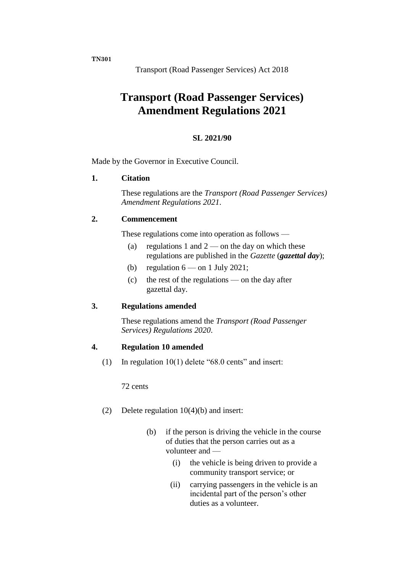**TN301**

Transport (Road Passenger Services) Act 2018

# **Transport (Road Passenger Services) Amendment Regulations 2021**

## **SL 2021/90**

Made by the Governor in Executive Council.

#### **1. Citation**

These regulations are the *Transport (Road Passenger Services) Amendment Regulations 2021*.

#### **2. Commencement**

These regulations come into operation as follows —

- (a) regulations 1 and  $2$  on the day on which these regulations are published in the *Gazette* (*gazettal day*);
- (b) regulation  $6$  on 1 July 2021;
- (c) the rest of the regulations on the day after gazettal day.

#### **3. Regulations amended**

These regulations amend the *Transport (Road Passenger Services) Regulations 2020*.

## **4. Regulation 10 amended**

(1) In regulation 10(1) delete "68.0 cents" and insert:

72 cents

- (2) Delete regulation 10(4)(b) and insert:
	- (b) if the person is driving the vehicle in the course of duties that the person carries out as a volunteer and —
		- (i) the vehicle is being driven to provide a community transport service; or
		- (ii) carrying passengers in the vehicle is an incidental part of the person's other duties as a volunteer.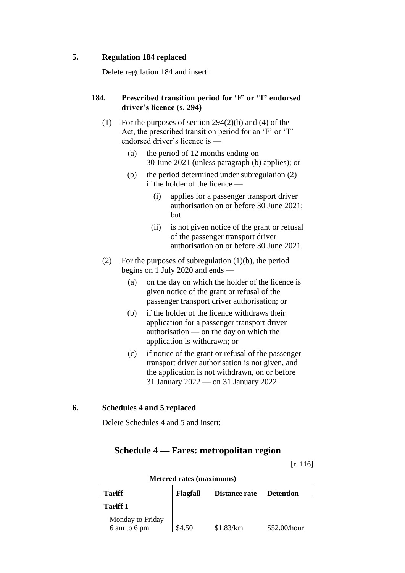## **5. Regulation 184 replaced**

Delete regulation 184 and insert:

#### **184. Prescribed transition period for 'F' or 'T' endorsed driver's licence (s. 294)**

- (1) For the purposes of section 294(2)(b) and (4) of the Act, the prescribed transition period for an 'F' or 'T' endorsed driver's licence is —
	- (a) the period of 12 months ending on 30 June 2021 (unless paragraph (b) applies); or
	- (b) the period determined under subregulation (2) if the holder of the licence —
		- (i) applies for a passenger transport driver authorisation on or before 30 June 2021; but
		- (ii) is not given notice of the grant or refusal of the passenger transport driver authorisation on or before 30 June 2021.
- (2) For the purposes of subregulation (1)(b), the period begins on 1 July 2020 and ends —
	- (a) on the day on which the holder of the licence is given notice of the grant or refusal of the passenger transport driver authorisation; or
	- (b) if the holder of the licence withdraws their application for a passenger transport driver authorisation — on the day on which the application is withdrawn; or
	- (c) if notice of the grant or refusal of the passenger transport driver authorisation is not given, and the application is not withdrawn, on or before 31 January 2022 — on 31 January 2022.

## **6. Schedules 4 and 5 replaced**

Delete Schedules 4 and 5 and insert:

## **Schedule 4 — Fares: metropolitan region**

[r. 116]

| <b>Tariff</b>                    | <b>Flagfall</b> | Distance rate | <b>Detention</b> |
|----------------------------------|-----------------|---------------|------------------|
| <b>Tariff 1</b>                  |                 |               |                  |
| Monday to Friday<br>6 am to 6 pm | \$4.50          | \$1.83/km     | \$52.00/hour     |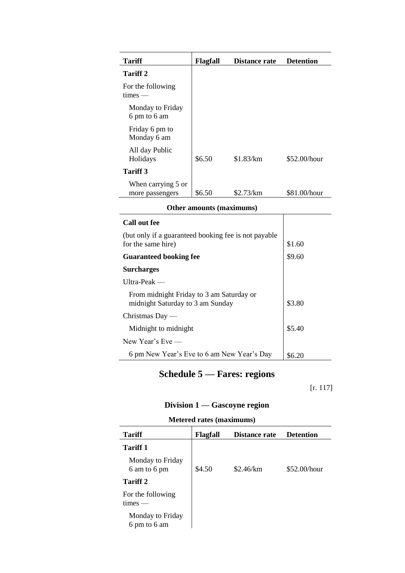| <b>Tariff</b>                         | <b>Flagfall</b> | Distance rate | <b>Detention</b> |
|---------------------------------------|-----------------|---------------|------------------|
| Tariff 2                              |                 |               |                  |
| For the following<br>$times -$        |                 |               |                  |
| Monday to Friday<br>6 pm to 6 am      |                 |               |                  |
| Friday 6 pm to<br>Monday 6 am         |                 |               |                  |
| All day Public<br>Holidays            | \$6.50          | \$1.83/km     | \$52.00/hour     |
| <b>Tariff</b> 3                       |                 |               |                  |
| When carrying 5 or<br>more passengers | \$6.50          | \$2.73/km     | \$81.00/hour     |
| Ather amounts (mavimums)              |                 |               |                  |

| Other amounts (maximums) |  |
|--------------------------|--|
|--------------------------|--|

| Call out fee                                                                 |        |
|------------------------------------------------------------------------------|--------|
| (but only if a guaranteed booking fee is not payable)<br>for the same hire)  | \$1.60 |
| <b>Guaranteed booking fee</b>                                                | \$9.60 |
| <b>Surcharges</b>                                                            |        |
| Ultra-Peak —                                                                 |        |
| From midnight Friday to 3 am Saturday or<br>midnight Saturday to 3 am Sunday | \$3.80 |
| Christmas Day $-$                                                            |        |
| Midnight to midnight                                                         | \$5.40 |
| New Year's $Eve$ —                                                           |        |
| 6 pm New Year's Eve to 6 am New Year's Day                                   | \$6.20 |

# **Schedule 5 — Fares: regions**

[r. 117]

# **Division 1 — Gascoyne region**

| <b>Metered rates (maximums)</b> |  |
|---------------------------------|--|
|---------------------------------|--|

| <b>Tariff</b>                    | Flagfall | <b>Distance rate</b> | <b>Detention</b> |
|----------------------------------|----------|----------------------|------------------|
| <b>Tariff 1</b>                  |          |                      |                  |
| Monday to Friday<br>6 am to 6 pm | \$4.50   | \$2.46/km            | \$52.00/hour     |
| <b>Tariff 2</b>                  |          |                      |                  |
| For the following<br>$times -$   |          |                      |                  |
| Monday to Friday<br>6 pm to 6 am |          |                      |                  |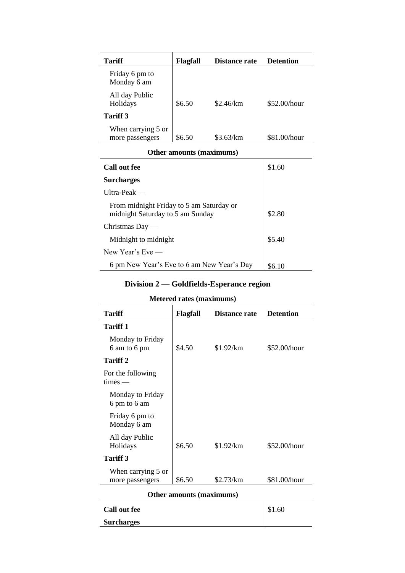| <b>Tariff</b>                         | Flagfall | Distance rate | <b>Detention</b> |
|---------------------------------------|----------|---------------|------------------|
| Friday 6 pm to<br>Monday 6 am         |          |               |                  |
| All day Public<br>Holidays            | \$6.50   | \$2.46/km     | \$52.00/hour     |
| <b>Tariff</b> 3                       |          |               |                  |
| When carrying 5 or<br>more passengers | \$6.50   | \$3.63/km     | \$81.00/hour     |

### **Other amounts (maximums)**

| Call out fee                                                                 | \$1.60 |
|------------------------------------------------------------------------------|--------|
| <b>Surcharges</b>                                                            |        |
| $U$ Itra-Peak —                                                              |        |
| From midnight Friday to 5 am Saturday or<br>midnight Saturday to 5 am Sunday | \$2.80 |
| Christmas Day $-$                                                            |        |
| Midnight to midnight                                                         | \$5.40 |
| New Year's $Eve$ —                                                           |        |
| 6 pm New Year's Eve to 6 am New Year's Day                                   |        |

# **Division 2 — Goldfields-Esperance region**

## **Metered rates (maximums)**

| <b>Tariff</b>                         | <b>Flagfall</b> | Distance rate | <b>Detention</b> |
|---------------------------------------|-----------------|---------------|------------------|
| <b>Tariff 1</b>                       |                 |               |                  |
| Monday to Friday<br>6 am to 6 pm      | \$4.50          | \$1.92/km     | \$52.00/hour     |
| Tariff 2                              |                 |               |                  |
| For the following<br>$times -$        |                 |               |                  |
| Monday to Friday<br>6 pm to 6 am      |                 |               |                  |
| Friday 6 pm to<br>Monday 6 am         |                 |               |                  |
| All day Public<br>Holidays            | \$6.50          | \$1.92/km     | \$52.00/hour     |
| <b>Tariff 3</b>                       |                 |               |                  |
| When carrying 5 or<br>more passengers | \$6.50          | \$2.73/km     | \$81.00/hour     |
| Other amounts (maximums)              |                 |               |                  |
| <b>Call out fee</b>                   |                 |               | \$1.60           |

**Surcharges**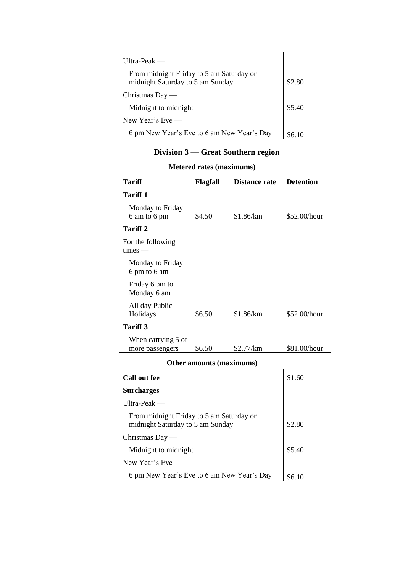| Ultra-Peak —                                                                 |        |
|------------------------------------------------------------------------------|--------|
| From midnight Friday to 5 am Saturday or<br>midnight Saturday to 5 am Sunday | \$2.80 |
| Christmas Day $-$                                                            |        |
| Midnight to midnight                                                         | \$5.40 |
| New Year's $Eve$ —                                                           |        |
| 6 pm New Year's Eve to 6 am New Year's Day                                   | S6 10  |

# **Division 3 — Great Southern region**

| <b>Tariff</b>                                                                | Flagfall | <b>Distance rate</b> | <b>Detention</b> |
|------------------------------------------------------------------------------|----------|----------------------|------------------|
| <b>Tariff 1</b>                                                              |          |                      |                  |
| Monday to Friday<br>6 am to 6 pm                                             | \$4.50   | \$1.86/km            | \$52.00/hour     |
| <b>Tariff 2</b>                                                              |          |                      |                  |
| For the following<br>$times -$                                               |          |                      |                  |
| Monday to Friday<br>6 pm to 6 am                                             |          |                      |                  |
| Friday 6 pm to<br>Monday 6 am                                                |          |                      |                  |
| All day Public<br>Holidays                                                   | \$6.50   | \$1.86/km            | \$52.00/hour     |
| <b>Tariff 3</b>                                                              |          |                      |                  |
| When carrying 5 or<br>more passengers                                        | \$6.50   | \$2.77/km            | \$81.00/hour     |
| Other amounts (maximums)                                                     |          |                      |                  |
| <b>Call out fee</b>                                                          |          |                      | \$1.60           |
| <b>Surcharges</b>                                                            |          |                      |                  |
| Ultra-Peak —                                                                 |          |                      |                  |
| From midnight Friday to 5 am Saturday or<br>midnight Saturday to 5 am Sunday |          |                      | \$2.80           |
| Christmas Day $-$                                                            |          |                      |                  |
| Midnight to midnight                                                         |          |                      | \$5.40           |
| New Year's Eve —                                                             |          |                      |                  |
| 6 pm New Year's Eve to 6 am New Year's Day                                   |          |                      | \$6.10           |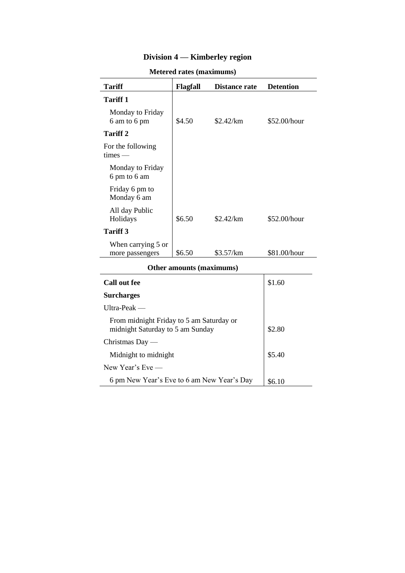# **Division 4 — Kimberley region**

| <b>Tariff</b>                         | <b>Flagfall</b> | <b>Distance rate</b> | <b>Detention</b> |
|---------------------------------------|-----------------|----------------------|------------------|
| <b>Tariff 1</b>                       |                 |                      |                  |
| Monday to Friday<br>6 am to 6 pm      | \$4.50          | \$2.42/km            | \$52.00/hour     |
| Tariff 2                              |                 |                      |                  |
| For the following<br>$times -$        |                 |                      |                  |
| Monday to Friday<br>6 pm to 6 am      |                 |                      |                  |
| Friday 6 pm to<br>Monday 6 am         |                 |                      |                  |
| All day Public<br>Holidays            | \$6.50          | \$2.42/km            | \$52.00/hour     |
| <b>Tariff 3</b>                       |                 |                      |                  |
| When carrying 5 or<br>more passengers | \$6.50          | \$3.57/km            | \$81.00/hour     |
| Other amounts (maximums)              |                 |                      |                  |
| <b>Call out fee</b>                   |                 |                      | \$1.60           |

| Other amounts (maximums)                                                     |        |  |  |
|------------------------------------------------------------------------------|--------|--|--|
| Call out fee                                                                 | \$1.60 |  |  |
| <b>Surcharges</b>                                                            |        |  |  |
| $U$ Itra-Peak —                                                              |        |  |  |
| From midnight Friday to 5 am Saturday or<br>midnight Saturday to 5 am Sunday | \$2.80 |  |  |
| Christmas Day $-$                                                            |        |  |  |
| Midnight to midnight                                                         | \$5.40 |  |  |
| New Year's $Eve$ —                                                           |        |  |  |
| 6 pm New Year's Eve to 6 am New Year's Day                                   | \$6.10 |  |  |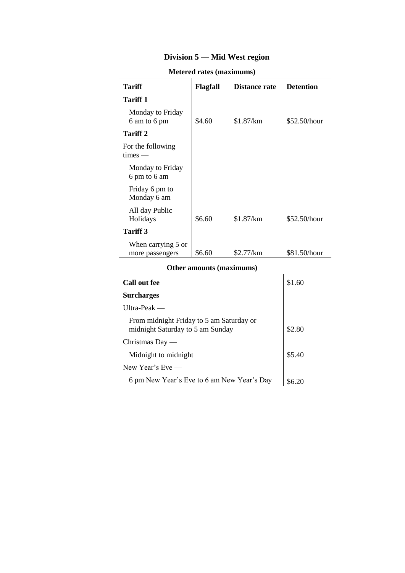# **Division 5 — Mid West region**

| <b>Tariff</b>                                                                | Flagfall | <b>Distance rate</b> | <b>Detention</b> |  |
|------------------------------------------------------------------------------|----------|----------------------|------------------|--|
| <b>Tariff 1</b>                                                              |          |                      |                  |  |
| Monday to Friday<br>6 am to 6 pm                                             | \$4.60   | \$1.87/km            | \$52.50/hour     |  |
| <b>Tariff 2</b>                                                              |          |                      |                  |  |
| For the following<br>$times -$                                               |          |                      |                  |  |
| Monday to Friday<br>6 pm to 6 am                                             |          |                      |                  |  |
| Friday 6 pm to<br>Monday 6 am                                                |          |                      |                  |  |
| All day Public<br>Holidays                                                   | \$6.60   | \$1.87/km            | \$52.50/hour     |  |
| <b>Tariff 3</b>                                                              |          |                      |                  |  |
| When carrying 5 or<br>more passengers                                        | \$6.60   | \$2.77/km            | \$81.50/hour     |  |
| Other amounts (maximums)                                                     |          |                      |                  |  |
| <b>Call out fee</b>                                                          |          |                      | \$1.60           |  |
| <b>Surcharges</b>                                                            |          |                      |                  |  |
| $U$ Itra-Peak —                                                              |          |                      |                  |  |
| From midnight Friday to 5 am Saturday or<br>midnight Saturday to 5 am Sunday |          |                      | \$2.80           |  |
| Christmas Day $-$                                                            |          |                      |                  |  |

| Call out fee                                                                 | \$1.60 |
|------------------------------------------------------------------------------|--------|
| <b>Surcharges</b>                                                            |        |
| $U$ ltra-Peak —                                                              |        |
| From midnight Friday to 5 am Saturday or<br>midnight Saturday to 5 am Sunday | \$2.80 |
| Christmas Day —                                                              |        |
| Midnight to midnight                                                         | \$5.40 |
| New Year's $Eve$ —                                                           |        |
| 6 pm New Year's Eve to 6 am New Year's Day                                   |        |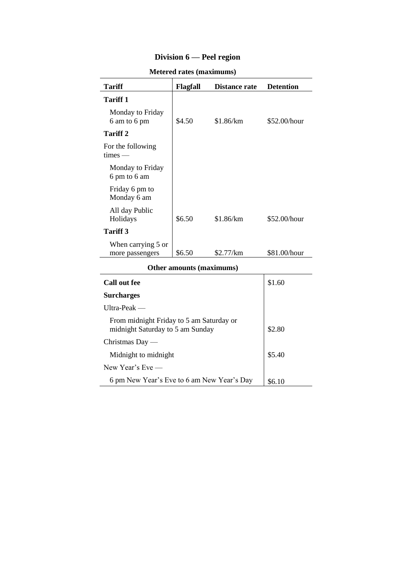# **Division 6 — Peel region**

| <b>Tariff</b>                         | Flagfall | <b>Distance rate</b> | <b>Detention</b> |
|---------------------------------------|----------|----------------------|------------------|
| <b>Tariff 1</b>                       |          |                      |                  |
| Monday to Friday<br>6 am to 6 pm      | \$4.50   | \$1.86/km            | \$52.00/hour     |
| Tariff 2                              |          |                      |                  |
| For the following<br>$times -$        |          |                      |                  |
| Monday to Friday<br>6 pm to 6 am      |          |                      |                  |
| Friday 6 pm to<br>Monday 6 am         |          |                      |                  |
| All day Public<br>Holidays            | \$6.50   | \$1.86/km            | \$52.00/hour     |
| Tariff 3                              |          |                      |                  |
| When carrying 5 or<br>more passengers | \$6.50   | \$2.77/km            | \$81.00/hour     |
| Other amounts (maximums)              |          |                      |                  |
| <b>Call out fee</b>                   |          |                      | \$1.60           |
| <b>Surcharges</b>                     |          |                      |                  |

| <b>Other amounts (maximums)</b>                                              |        |  |  |
|------------------------------------------------------------------------------|--------|--|--|
| Call out fee                                                                 | \$1.60 |  |  |
| <b>Surcharges</b>                                                            |        |  |  |
| $U$ Itra-Peak —                                                              |        |  |  |
| From midnight Friday to 5 am Saturday or<br>midnight Saturday to 5 am Sunday | \$2.80 |  |  |
| Christmas Day $-$                                                            |        |  |  |
| Midnight to midnight                                                         | \$5.40 |  |  |
| New Year's $Eve$ —                                                           |        |  |  |
| 6 pm New Year's Eve to 6 am New Year's Day                                   |        |  |  |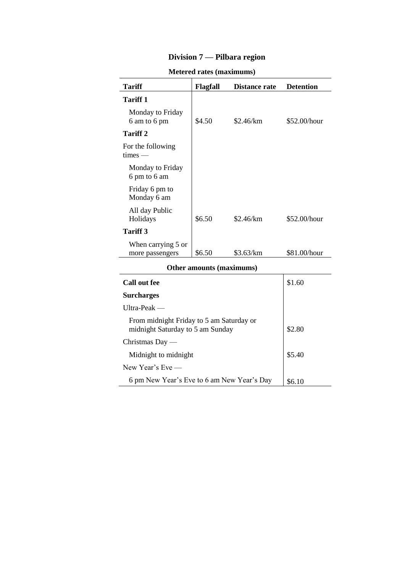# **Division 7 — Pilbara region**

| <b>Tariff</b>                                                                | Flagfall | <b>Distance rate</b> | <b>Detention</b> |  |
|------------------------------------------------------------------------------|----------|----------------------|------------------|--|
| <b>Tariff 1</b>                                                              |          |                      |                  |  |
| Monday to Friday<br>6 am to 6 pm                                             | \$4.50   | \$2.46/km            | $$52.00/h$ our   |  |
| <b>Tariff 2</b>                                                              |          |                      |                  |  |
| For the following<br>$times -$                                               |          |                      |                  |  |
| Monday to Friday<br>6 pm to 6 am                                             |          |                      |                  |  |
| Friday 6 pm to<br>Monday 6 am                                                |          |                      |                  |  |
| All day Public<br>Holidays                                                   | \$6.50   | \$2.46/km            | \$52.00/hour     |  |
| <b>Tariff 3</b>                                                              |          |                      |                  |  |
| When carrying 5 or<br>more passengers                                        | \$6.50   | \$3.63/km            | \$81.00/hour     |  |
| Other amounts (maximums)                                                     |          |                      |                  |  |
| <b>Call out fee</b>                                                          |          |                      | \$1.60           |  |
| <b>Surcharges</b>                                                            |          |                      |                  |  |
| $U$ ltra-Peak —                                                              |          |                      |                  |  |
| From midnight Friday to 5 am Saturday or<br>midnight Saturday to 5 am Sunday | \$2.80   |                      |                  |  |
| Christmas Day $-$                                                            |          |                      |                  |  |

Midnight to midnight  $\frac{1}{25.40}$ 

6 pm New Year's Eve to 6 am New Year's Day  $\begin{array}{|l|l|}\n\hline\n\end{array}$  \$6.10

New Year's Eve —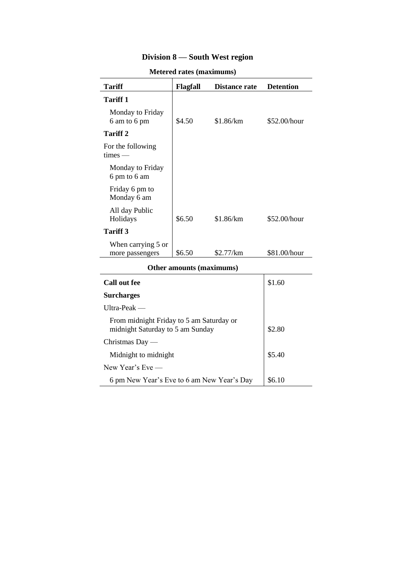# **Division 8 — South West region**

| <b>NICICI CU TALES (INAXIMUMIS)</b>   |          |               |                  |
|---------------------------------------|----------|---------------|------------------|
| Tariff                                | Flagfall | Distance rate | <b>Detention</b> |
| <b>Tariff 1</b>                       |          |               |                  |
| Monday to Friday<br>6 am to 6 pm      | \$4.50   | \$1.86/km     | \$52.00/hour     |
| <b>Tariff 2</b>                       |          |               |                  |
| For the following<br>$times -$        |          |               |                  |
| Monday to Friday<br>6 pm to 6 am      |          |               |                  |
| Friday 6 pm to<br>Monday 6 am         |          |               |                  |
| All day Public<br>Holidays            | \$6.50   | \$1.86/km     | \$52.00/hour     |
| <b>Tariff 3</b>                       |          |               |                  |
| When carrying 5 or<br>more passengers | \$6.50   | \$2.77/km     | \$81.00/hour     |
| Other amounts (maximums)              |          |               |                  |

| <b>Other amounts (maximums)</b>                                              |        |  |
|------------------------------------------------------------------------------|--------|--|
| Call out fee                                                                 | \$1.60 |  |
| <b>Surcharges</b>                                                            |        |  |
| Ultra-Peak $-$                                                               |        |  |
| From midnight Friday to 5 am Saturday or<br>midnight Saturday to 5 am Sunday | \$2.80 |  |
| Christmas Day $-$                                                            |        |  |
| Midnight to midnight                                                         | \$5.40 |  |
| New Year's $Eve$ —                                                           |        |  |
| 6 pm New Year's Eve to 6 am New Year's Day                                   | \$6.10 |  |